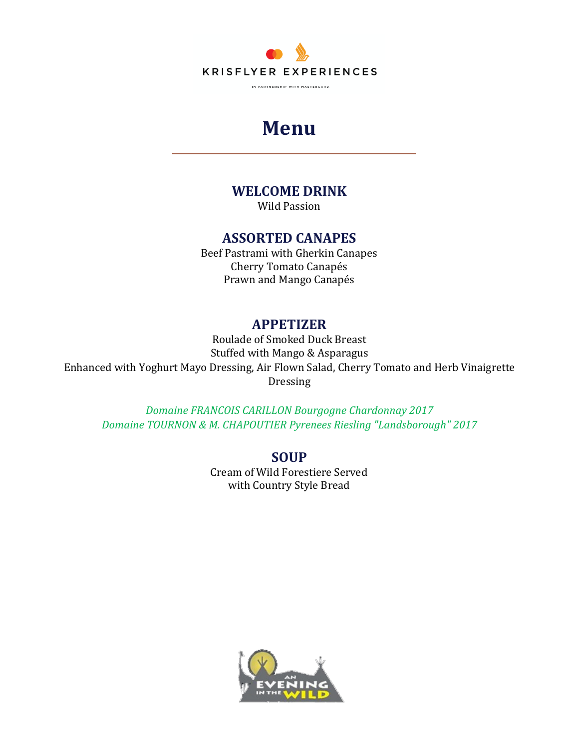

## **Menu**

### **WELCOME DRINK**

Wild Passion

#### **ASSORTED CANAPES**

Beef Pastrami with Gherkin Canapes Cherry Tomato Canapés Prawn and Mango Canapés

#### **APPETIZER**

Roulade of Smoked Duck Breast Stuffed with Mango & Asparagus Enhanced with Yoghurt Mayo Dressing, Air Flown Salad, Cherry Tomato and Herb Vinaigrette Dressing

*Domaine FRANCOIS CARILLON Bourgogne Chardonnay 2017 Domaine TOURNON & M. CHAPOUTIER Pyrenees Riesling "Landsborough" 2017*

> **SOUP** Cream of Wild Forestiere Served with Country Style Bread

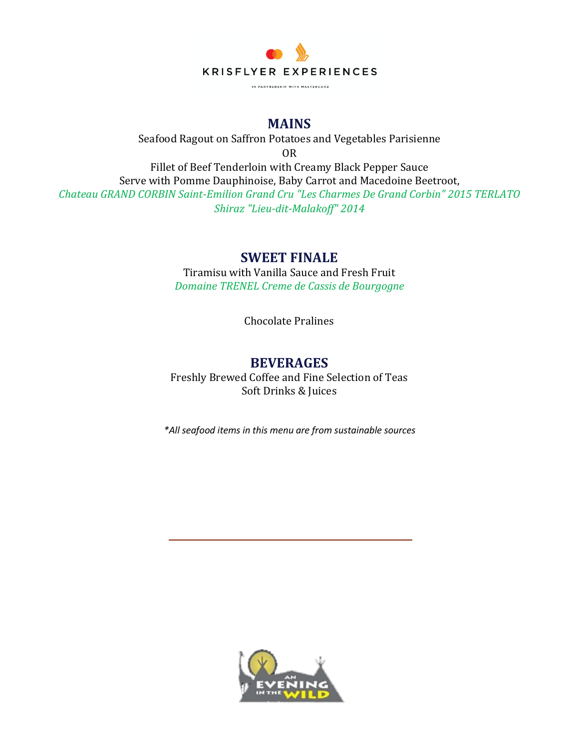

#### **MAINS**

Seafood Ragout on Saffron Potatoes and Vegetables Parisienne OR Fillet of Beef Tenderloin with Creamy Black Pepper Sauce Serve with Pomme Dauphinoise, Baby Carrot and Macedoine Beetroot, *Chateau GRAND CORBIN Saint-Emilion Grand Cru "Les Charmes De Grand Corbin" 2015 TERLATO Shiraz "Lieu-dit-Malakoff" 2014*

#### **SWEET FINALE**

Tiramisu with Vanilla Sauce and Fresh Fruit *Domaine TRENEL Creme de Cassis de Bourgogne* 

Chocolate Pralines

#### **BEVERAGES**

Freshly Brewed Coffee and Fine Selection of Teas Soft Drinks & Juices

*\*All seafood items in this menu are from sustainable sources*

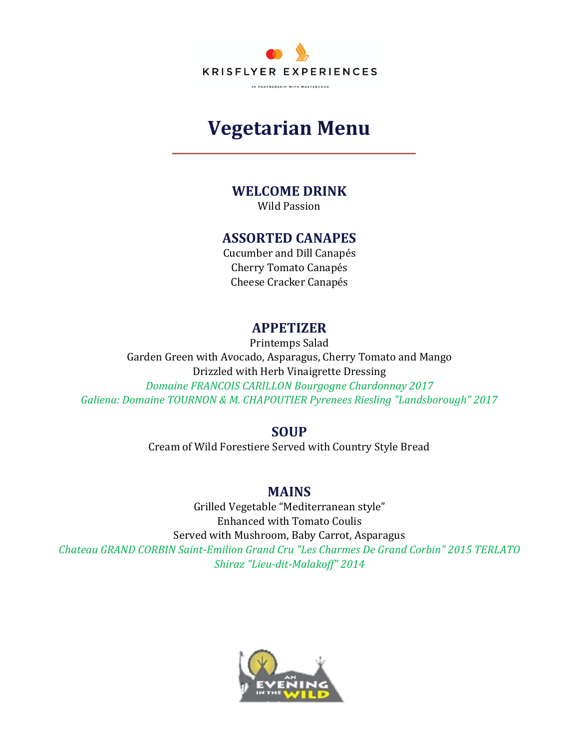

# **Vegetarian Menu**

## **WELCOME DRINK**

Wild Passion

#### **ASSORTED CANAPES**

Cucumber and Dill Canapés Cherry Tomato Canapés Cheese Cracker Canapés

#### **APPETIZER**

Printemps Salad Garden Green with Avocado, Asparagus, Cherry Tomato and Mango Drizzled with Herb Vinaigrette Dressing *Domaine FRANCOIS CARILLON Bourgogne Chardonnay 2017 Galiena: Domaine TOURNON & M. CHAPOUTIER Pyrenees Riesling "Landsborough" 2017*

#### **SOUP**

Cream of Wild Forestiere Served with Country Style Bread

#### **MAINS**

Grilled Vegetable "Mediterranean style" Enhanced with Tomato Coulis Served with Mushroom, Baby Carrot, Asparagus *Chateau GRAND CORBIN Saint-Emilion Grand Cru "Les Charmes De Grand Corbin" 2015 TERLATO Shiraz "Lieu-dit-Malakoff" 2014*

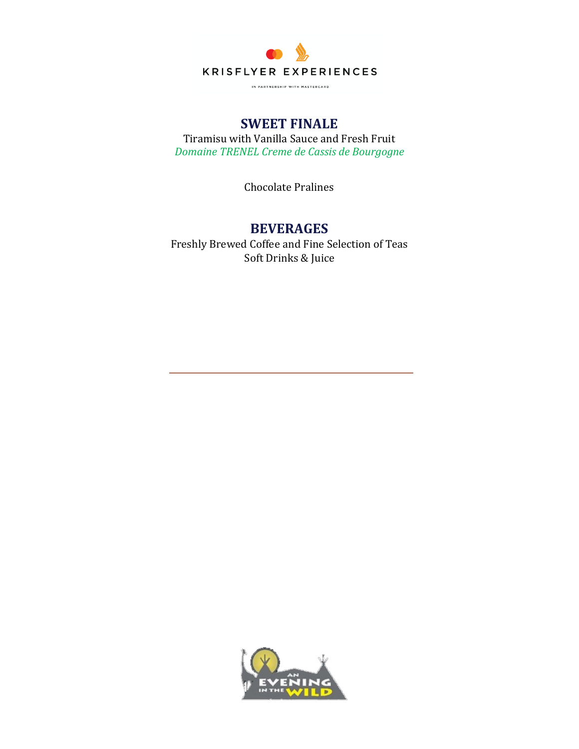

IN PARTNERSHIP WITH MASTERCARD.

## **SWEET FINALE**

Tiramisu with Vanilla Sauce and Fresh Fruit *Domaine TRENEL Creme de Cassis de Bourgogne* 

Chocolate Pralines

#### **BEVERAGES**

Freshly Brewed Coffee and Fine Selection of Teas Soft Drinks & Juice

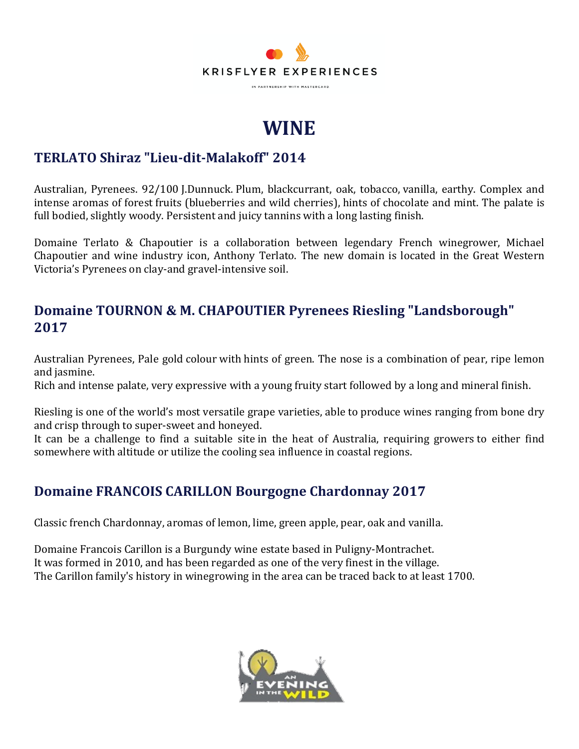

# **WINE**

## **TERLATO Shiraz "Lieu-dit-Malakoff" 2014**

Australian, Pyrenees. 92/100 J.Dunnuck. Plum, blackcurrant, oak, tobacco, vanilla, earthy. Complex and intense aromas of forest fruits (blueberries and wild cherries), hints of chocolate and mint. The palate is full bodied, slightly woody. Persistent and juicy tannins with a long lasting finish.

Domaine Terlato & Chapoutier is a collaboration between legendary French winegrower, Michael Chapoutier and wine industry icon, Anthony Terlato. The new domain is located in the Great Western Victoria's Pyrenees on clay-and gravel-intensive soil.

#### **Domaine TOURNON & M. CHAPOUTIER Pyrenees Riesling "Landsborough" 2017**

Australian Pyrenees, Pale gold colour with hints of green. The nose is a combination of pear, ripe lemon and jasmine.

Rich and intense palate, very expressive with a young fruity start followed by a long and mineral finish.

Riesling is one of the world's most versatile grape varieties, able to produce wines ranging from bone dry and crisp through to super-sweet and honeyed.

It can be a challenge to find a suitable site in the heat of Australia, requiring growers to either find somewhere with altitude or utilize the cooling sea influence in coastal regions.

## **Domaine FRANCOIS CARILLON Bourgogne Chardonnay 2017**

Classic french Chardonnay, aromas of lemon, lime, green apple, pear, oak and vanilla.

Domaine Francois Carillon is a Burgundy wine estate based in Puligny-Montrachet. It was formed in 2010, and has been regarded as one of the very finest in the village. The Carillon family's history in winegrowing in the area can be traced back to at least 1700.